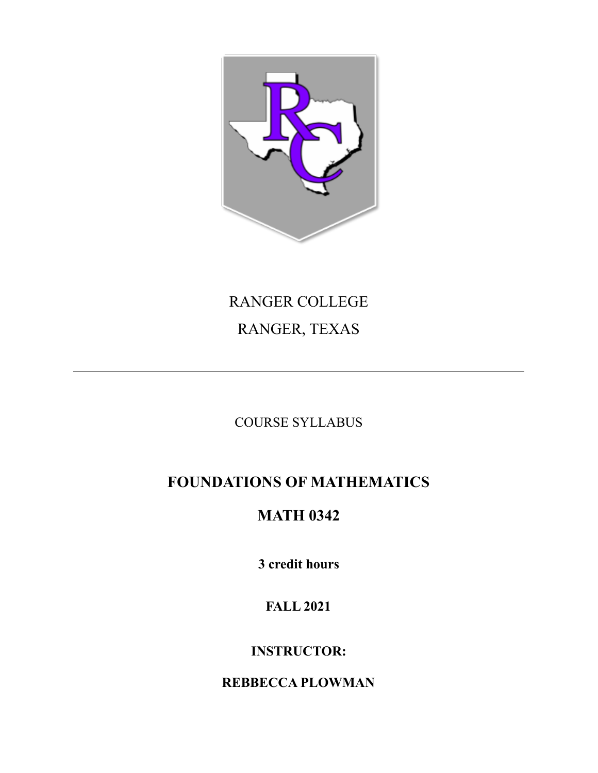

# RANGER COLLEGE RANGER, TEXAS

COURSE SYLLABUS

# **FOUNDATIONS OF MATHEMATICS**

# **MATH 0342**

**3 credit hours**

## **FALL 2021**

### **INSTRUCTOR:**

### **REBBECCA PLOWMAN**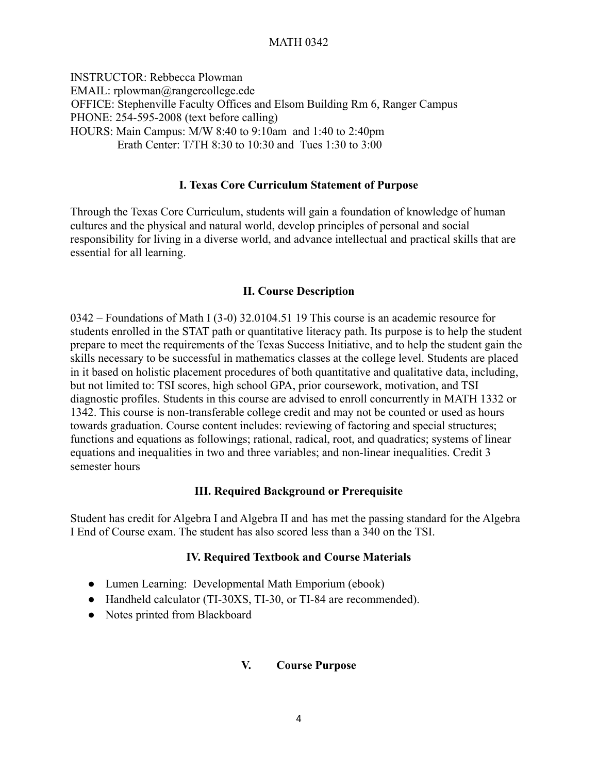#### MATH 0342

INSTRUCTOR: Rebbecca Plowman EMAIL: rplowman@rangercollege.ede OFFICE: Stephenville Faculty Offices and Elsom Building Rm 6, Ranger Campus PHONE: 254-595-2008 (text before calling) HOURS: Main Campus: M/W 8:40 to 9:10am and 1:40 to 2:40pm Erath Center: T/TH 8:30 to 10:30 and Tues 1:30 to 3:00

#### **I. Texas Core Curriculum Statement of Purpose**

Through the Texas Core Curriculum, students will gain a foundation of knowledge of human cultures and the physical and natural world, develop principles of personal and social responsibility for living in a diverse world, and advance intellectual and practical skills that are essential for all learning.

#### **II. Course Description**

0342 – Foundations of Math I (3-0) 32.0104.51 19 This course is an academic resource for students enrolled in the STAT path or quantitative literacy path. Its purpose is to help the student prepare to meet the requirements of the Texas Success Initiative, and to help the student gain the skills necessary to be successful in mathematics classes at the college level. Students are placed in it based on holistic placement procedures of both quantitative and qualitative data, including, but not limited to: TSI scores, high school GPA, prior coursework, motivation, and TSI diagnostic profiles. Students in this course are advised to enroll concurrently in MATH 1332 or 1342. This course is non-transferable college credit and may not be counted or used as hours towards graduation. Course content includes: reviewing of factoring and special structures; functions and equations as followings; rational, radical, root, and quadratics; systems of linear equations and inequalities in two and three variables; and non-linear inequalities. Credit 3 semester hours

#### **III. Required Background or Prerequisite**

Student has credit for Algebra I and Algebra II and has met the passing standard for the Algebra I End of Course exam. The student has also scored less than a 340 on the TSI.

#### **IV. Required Textbook and Course Materials**

- Lumen Learning: Developmental Math Emporium (ebook)
- Handheld calculator (TI-30XS, TI-30, or TI-84 are recommended).
- Notes printed from Blackboard

#### **V. Course Purpose**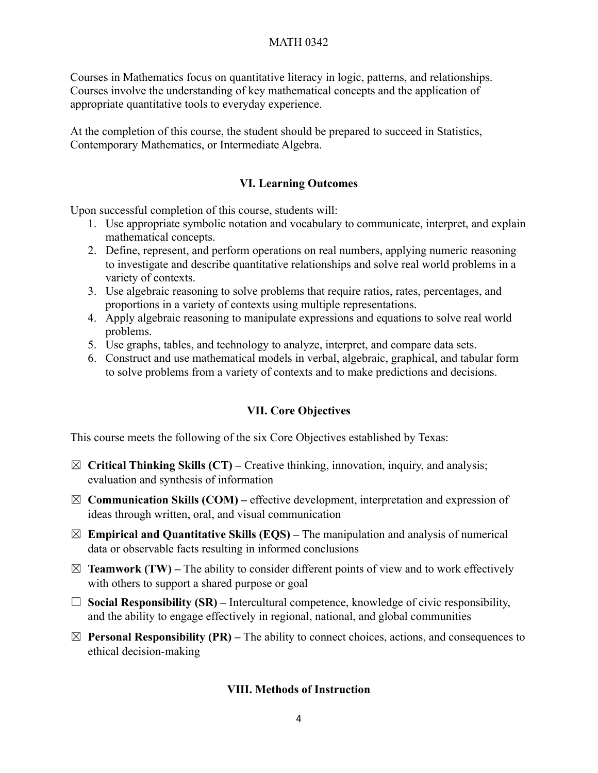Courses in Mathematics focus on quantitative literacy in logic, patterns, and relationships. Courses involve the understanding of key mathematical concepts and the application of appropriate quantitative tools to everyday experience.

At the completion of this course, the student should be prepared to succeed in Statistics, Contemporary Mathematics, or Intermediate Algebra.

#### **VI. Learning Outcomes**

Upon successful completion of this course, students will:

- 1. Use appropriate symbolic notation and vocabulary to communicate, interpret, and explain mathematical concepts.
- 2. Define, represent, and perform operations on real numbers, applying numeric reasoning to investigate and describe quantitative relationships and solve real world problems in a variety of contexts.
- 3. Use algebraic reasoning to solve problems that require ratios, rates, percentages, and proportions in a variety of contexts using multiple representations.
- 4. Apply algebraic reasoning to manipulate expressions and equations to solve real world problems.
- 5. Use graphs, tables, and technology to analyze, interpret, and compare data sets.
- 6. Construct and use mathematical models in verbal, algebraic, graphical, and tabular form to solve problems from a variety of contexts and to make predictions and decisions.

#### **VII. Core Objectives**

This course meets the following of the six Core Objectives established by Texas:

- ☒ **Critical Thinking Skills (CT) –** Creative thinking, innovation, inquiry, and analysis; evaluation and synthesis of information
- ☒ **Communication Skills (COM) –** effective development, interpretation and expression of ideas through written, oral, and visual communication
- $\boxtimes$  **Empirical and Quantitative Skills (EQS)** The manipulation and analysis of numerical data or observable facts resulting in informed conclusions
- $\boxtimes$  **Teamwork (TW)** The ability to consider different points of view and to work effectively with others to support a shared purpose or goal
- ☐ **Social Responsibility (SR) –** Intercultural competence, knowledge of civic responsibility, and the ability to engage effectively in regional, national, and global communities
- $\boxtimes$  **Personal Responsibility (PR)** The ability to connect choices, actions, and consequences to ethical decision-making

#### **VIII. Methods of Instruction**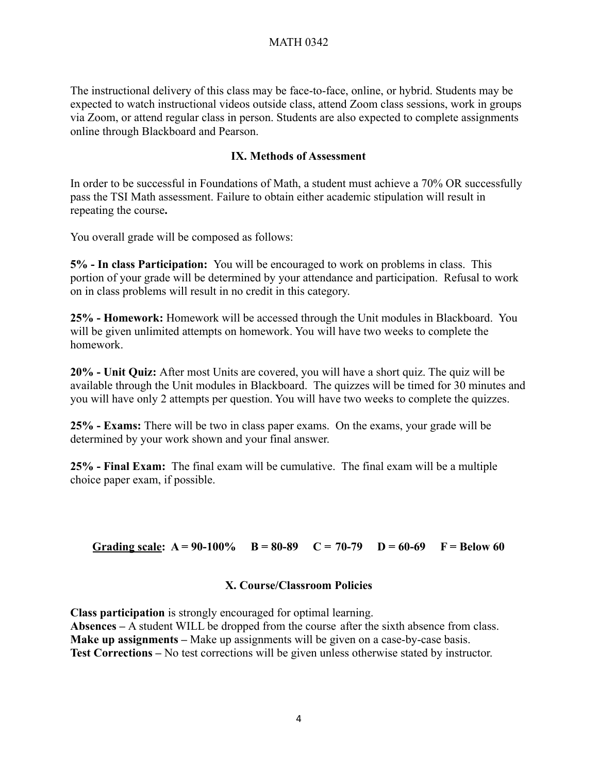The instructional delivery of this class may be face-to-face, online, or hybrid. Students may be expected to watch instructional videos outside class, attend Zoom class sessions, work in groups via Zoom, or attend regular class in person. Students are also expected to complete assignments online through Blackboard and Pearson.

#### **IX. Methods of Assessment**

In order to be successful in Foundations of Math, a student must achieve a 70% OR successfully pass the TSI Math assessment. Failure to obtain either academic stipulation will result in repeating the course**.**

You overall grade will be composed as follows:

**5% - In class Participation:** You will be encouraged to work on problems in class. This portion of your grade will be determined by your attendance and participation. Refusal to work on in class problems will result in no credit in this category.

**25% - Homework:** Homework will be accessed through the Unit modules in Blackboard. You will be given unlimited attempts on homework. You will have two weeks to complete the homework.

**20% - Unit Quiz:** After most Units are covered, you will have a short quiz. The quiz will be available through the Unit modules in Blackboard. The quizzes will be timed for 30 minutes and you will have only 2 attempts per question. You will have two weeks to complete the quizzes.

**25% - Exams:** There will be two in class paper exams. On the exams, your grade will be determined by your work shown and your final answer.

**25% - Final Exam:** The final exam will be cumulative. The final exam will be a multiple choice paper exam, if possible.

Grading scale:  $A = 90-100\%$   $B = 80-89$   $C = 70-79$   $D = 60-69$   $F = Below 60$ 

#### **X. Course/Classroom Policies**

**Class participation** is strongly encouraged for optimal learning. **Absences –** A student WILL be dropped from the course after the sixth absence from class. **Make up assignments –** Make up assignments will be given on a case-by-case basis. **Test Corrections –** No test corrections will be given unless otherwise stated by instructor.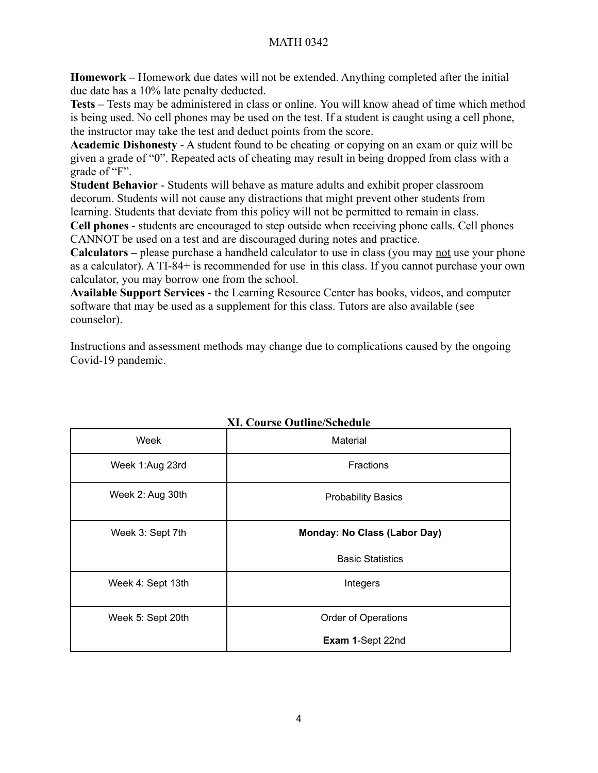#### MATH 0342

**Homework –** Homework due dates will not be extended. Anything completed after the initial due date has a 10% late penalty deducted.

**Tests –** Tests may be administered in class or online. You will know ahead of time which method is being used. No cell phones may be used on the test. If a student is caught using a cell phone, the instructor may take the test and deduct points from the score.

**Academic Dishonesty** - A student found to be cheating or copying on an exam or quiz will be given a grade of "0". Repeated acts of cheating may result in being dropped from class with a grade of "F".

**Student Behavior** - Students will behave as mature adults and exhibit proper classroom decorum. Students will not cause any distractions that might prevent other students from learning. Students that deviate from this policy will not be permitted to remain in class.

**Cell phones** - students are encouraged to step outside when receiving phone calls. Cell phones CANNOT be used on a test and are discouraged during notes and practice.

Calculators – please purchase a handheld calculator to use in class (you may <u>not</u> use your phone as a calculator). A TI-84+ is recommended for use in this class. If you cannot purchase your own calculator, you may borrow one from the school.

**Available Support Services** - the Learning Resource Center has books, videos, and computer software that may be used as a supplement for this class. Tutors are also available (see counselor).

Instructions and assessment methods may change due to complications caused by the ongoing Covid-19 pandemic.

| Week              | Material                            |
|-------------------|-------------------------------------|
| Week 1:Aug 23rd   | <b>Fractions</b>                    |
| Week 2: Aug 30th  | <b>Probability Basics</b>           |
| Week 3: Sept 7th  | <b>Monday: No Class (Labor Day)</b> |
|                   | <b>Basic Statistics</b>             |
| Week 4: Sept 13th | Integers                            |
| Week 5: Sept 20th | <b>Order of Operations</b>          |
|                   | Exam 1-Sept 22nd                    |

#### **XI. Course Outline/Schedule**